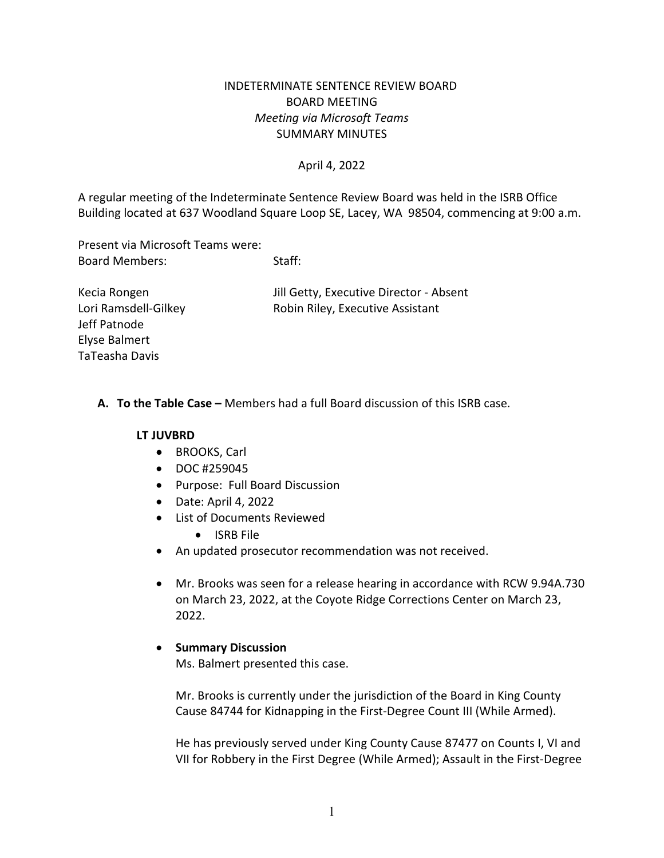# INDETERMINATE SENTENCE REVIEW BOARD BOARD MEETING *Meeting via Microsoft Teams* SUMMARY MINUTES

#### April 4, 2022

A regular meeting of the Indeterminate Sentence Review Board was held in the ISRB Office Building located at 637 Woodland Square Loop SE, Lacey, WA 98504, commencing at 9:00 a.m.

Present via Microsoft Teams were: Board Members: Staff:

Kecia Rongen **In the Community** Jill Getty, Executive Director - Absent Lori Ramsdell-Gilkey **Robin Riley, Executive Assistant** 

Jeff Patnode Elyse Balmert TaTeasha Davis

### **A. To the Table Case –** Members had a full Board discussion of this ISRB case.

#### **LT JUVBRD**

- BROOKS, Carl
- DOC #259045
- Purpose: Full Board Discussion
- Date: April 4, 2022
- List of Documents Reviewed
	- ISRB File
- An updated prosecutor recommendation was not received.
- Mr. Brooks was seen for a release hearing in accordance with RCW 9.94A.730 on March 23, 2022, at the Coyote Ridge Corrections Center on March 23, 2022.

### • **Summary Discussion**

Ms. Balmert presented this case.

Mr. Brooks is currently under the jurisdiction of the Board in King County Cause 84744 for Kidnapping in the First-Degree Count III (While Armed).

He has previously served under King County Cause 87477 on Counts I, VI and VII for Robbery in the First Degree (While Armed); Assault in the First-Degree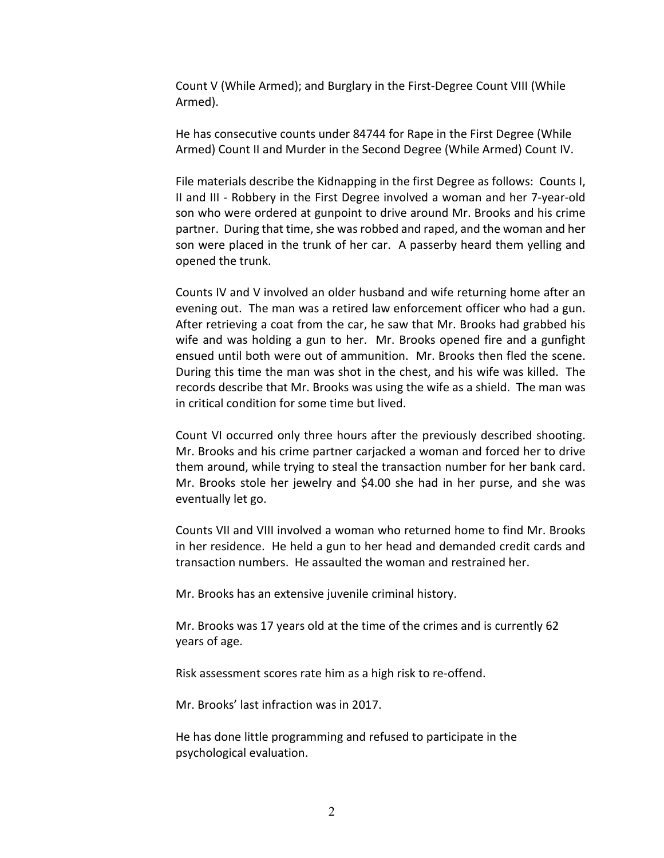Count V (While Armed); and Burglary in the First-Degree Count VIII (While Armed).

He has consecutive counts under 84744 for Rape in the First Degree (While Armed) Count II and Murder in the Second Degree (While Armed) Count IV.

File materials describe the Kidnapping in the first Degree as follows: Counts I, II and III - Robbery in the First Degree involved a woman and her 7-year-old son who were ordered at gunpoint to drive around Mr. Brooks and his crime partner. During that time, she was robbed and raped, and the woman and her son were placed in the trunk of her car. A passerby heard them yelling and opened the trunk.

Counts IV and V involved an older husband and wife returning home after an evening out. The man was a retired law enforcement officer who had a gun. After retrieving a coat from the car, he saw that Mr. Brooks had grabbed his wife and was holding a gun to her. Mr. Brooks opened fire and a gunfight ensued until both were out of ammunition. Mr. Brooks then fled the scene. During this time the man was shot in the chest, and his wife was killed. The records describe that Mr. Brooks was using the wife as a shield. The man was in critical condition for some time but lived.

Count VI occurred only three hours after the previously described shooting. Mr. Brooks and his crime partner carjacked a woman and forced her to drive them around, while trying to steal the transaction number for her bank card. Mr. Brooks stole her jewelry and \$4.00 she had in her purse, and she was eventually let go.

Counts VII and VIII involved a woman who returned home to find Mr. Brooks in her residence. He held a gun to her head and demanded credit cards and transaction numbers. He assaulted the woman and restrained her.

Mr. Brooks has an extensive juvenile criminal history.

Mr. Brooks was 17 years old at the time of the crimes and is currently 62 years of age.

Risk assessment scores rate him as a high risk to re-offend.

Mr. Brooks' last infraction was in 2017.

He has done little programming and refused to participate in the psychological evaluation.